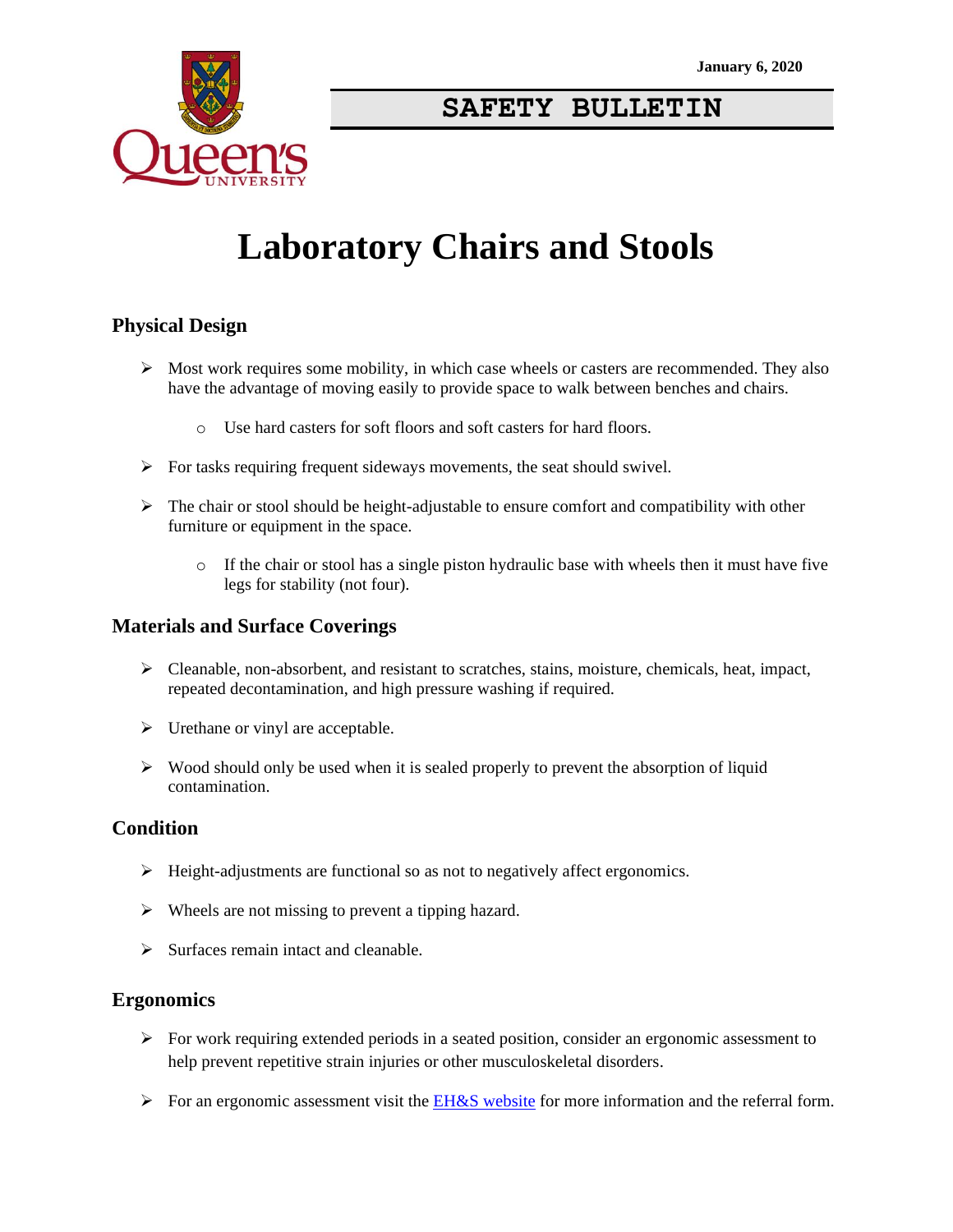

## **SAFETY BULLETIN**

# **Laboratory Chairs and Stools**

### **Physical Design**

- $\triangleright$  Most work requires some mobility, in which case wheels or casters are recommended. They also have the advantage of moving easily to provide space to walk between benches and chairs.
	- o Use hard casters for soft floors and soft casters for hard floors.
- $\triangleright$  For tasks requiring frequent sideways movements, the seat should swivel.
- $\triangleright$  The chair or stool should be height-adjustable to ensure comfort and compatibility with other furniture or equipment in the space.
	- o If the chair or stool has a single piston hydraulic base with wheels then it must have five legs for stability (not four).

#### **Materials and Surface Coverings**

- $\triangleright$  Cleanable, non-absorbent, and resistant to scratches, stains, moisture, chemicals, heat, impact, repeated decontamination, and high pressure washing if required.
- $\triangleright$  Urethane or vinyl are acceptable.
- $\triangleright$  Wood should only be used when it is sealed properly to prevent the absorption of liquid contamination.

#### **Condition**

- $\triangleright$  Height-adjustments are functional so as not to negatively affect ergonomics.
- $\triangleright$  Wheels are not missing to prevent a tipping hazard.
- $\triangleright$  Surfaces remain intact and cleanable.

#### **Ergonomics**

- $\triangleright$  For work requiring extended periods in a seated position, consider an ergonomic assessment to help prevent repetitive strain injuries or other musculoskeletal disorders.
- $\triangleright$  For an ergonomic assessment visit the **EH&S** website for more information and the referral form.